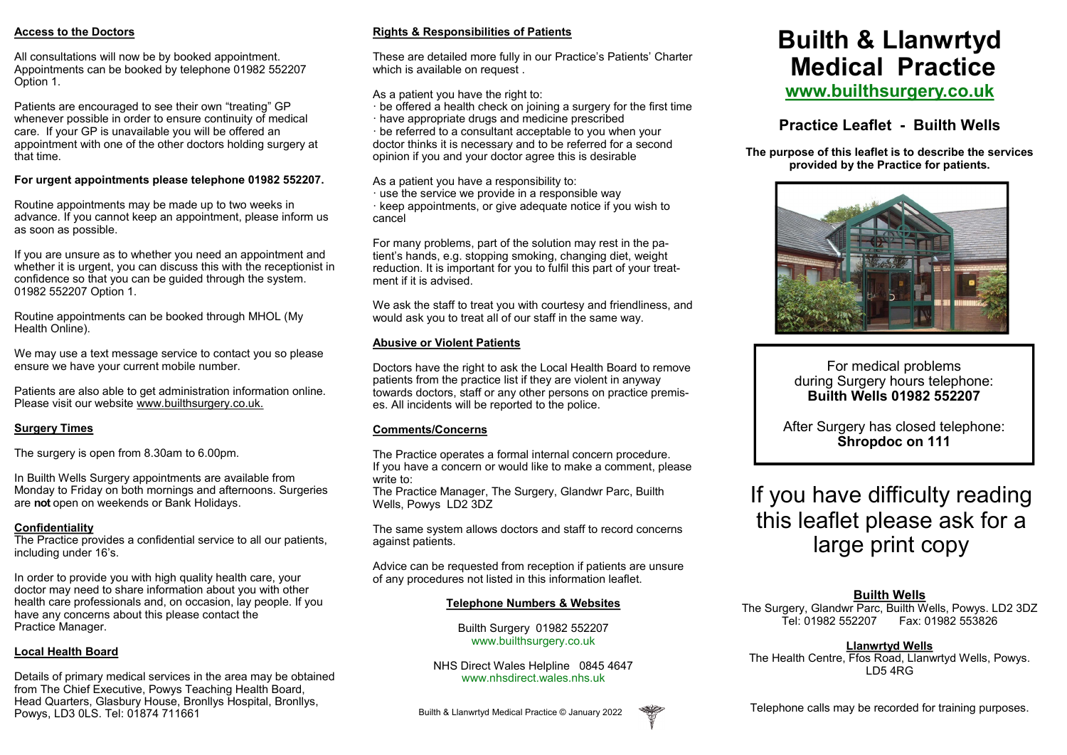#### **Access to the Doctors**

All consultations will now be by booked appointment. Appointments can be booked by telephone 01982 552207 Option 1.

Patients are encouraged to see their own "treating" GP whenever possible in order to ensure continuity of medical care. If your GP is unavailable you will be offered an appointment with one of the other doctors holding surgery at that time.

#### **For urgent appointments please telephone 01982 552207.**

Routine appointments may be made up to two weeks in advance. If you cannot keep an appointment, please inform us as soon as possible.

If you are unsure as to whether you need an appointment and whether it is urgent, you can discuss this with the receptionist in confidence so that you can be guided through the system. 01982 552207 Option 1.

Routine appointments can be booked through MHOL (My Health Online).

We may use a text message service to contact you so please ensure we have your current mobile number.

Patients are also able to get administration information online. Please visit our website www.builthsurgery.co.uk.

# **Surgery Times**

The surgery is open from 8.30am to 6.00pm.

In Builth Wells Surgery appointments are available from Monday to Friday on both mornings and afternoons. Surgeries are **not** open on weekends or Bank Holidays.

# **Confidentiality**

The Practice provides a confidential service to all our patients, including under 16's.

In order to provide you with high quality health care, your doctor may need to share information about you with other health care professionals and, on occasion, lay people. If you have any concerns about this please contact the Practice Manager.

# **Local Health Board**

Details of primary medical services in the area may be obtained from The Chief Executive, Powys Teaching Health Board, Head Quarters, Glasbury House, Bronllys Hospital, Bronllys, Powys, LD3 0LS. Tel: 01874 711661

# **Rights & Responsibilities of Patients**

These are detailed more fully in our Practice's Patients' Charter which is available on request.

As a patient you have the right to:

- · be offered a health check on joining a surgery for the first time
- · have appropriate drugs and medicine prescribed

· be referred to a consultant acceptable to you when your doctor thinks it is necessary and to be referred for a second opinion if you and your doctor agree this is desirable

As a patient you have a responsibility to:

· use the service we provide in a responsible way · keep appointments, or give adequate notice if you wish to cancel

For many problems, part of the solution may rest in the patient's hands, e.g. stopping smoking, changing diet, weight reduction. It is important for you to fulfil this part of your treatment if it is advised.

We ask the staff to treat you with courtesy and friendliness, and would ask you to treat all of our staff in the same way.

# **Abusive or Violent Patients**

Doctors have the right to ask the Local Health Board to remove patients from the practice list if they are violent in anyway towards doctors, staff or any other persons on practice premises. All incidents will be reported to the police.

# **Comments/Concerns**

The Practice operates a formal internal concern procedure. If you have a concern or would like to make a comment, please write to:

The Practice Manager, The Surgery, Glandwr Parc, Builth Wells, Powys LD2 3DZ

The same system allows doctors and staff to record concerns against patients.

Advice can be requested from reception if patients are unsure of any procedures not listed in this information leaflet.

# **Telephone Numbers & Websites**

Builth Surgery 01982 552207 www.builthsurgery.co.uk

NHS Direct Wales Helpline 0845 4647 www.nhsdirect.wales.nhs.uk

#### Builth & Llanwrtyd Medical Practice © January 2022

# **Builth & Llanwrtyd Medical Practice www.builthsurgery.co.uk**

# **Practice Leaflet - Builth Wells**

**The purpose of this leaflet is to describe the services provided by the Practice for patients.** 



For medical problems during Surgery hours telephone: **Builth Wells 01982 552207**

After Surgery has closed telephone: **Shropdoc on 111**

# If you have difficulty reading this leaflet please ask for a large print copy

# **Builth Wells**

The Surgery, Glandwr Parc, Builth Wells, Powys. LD2 3DZ<br>Tel: 01982 552207 Fax: 01982 553826 Tel: 01982 552207 Fax: 01982 553826

**Llanwrtyd Wells** The Health Centre, Ffos Road, Llanwrtyd Wells, Powys. LD5 4RG

Telephone calls may be recorded for training purposes.